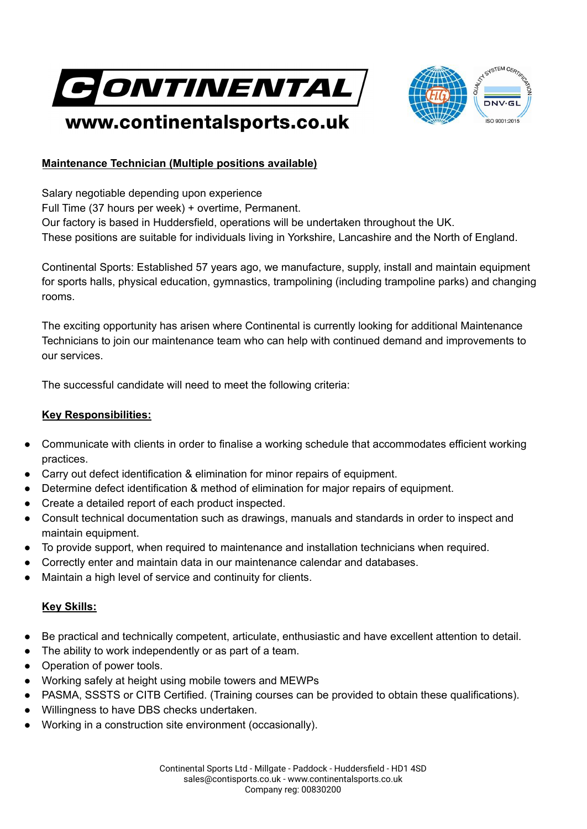



## www.continentalsports.co.uk

## **Maintenance Technician (Multiple positions available)**

Salary negotiable depending upon experience Full Time (37 hours per week) + overtime, Permanent. Our factory is based in Huddersfield, operations will be undertaken throughout the UK. These positions are suitable for individuals living in Yorkshire, Lancashire and the North of England.

Continental Sports: Established 57 years ago, we manufacture, supply, install and maintain equipment for sports halls, physical education, gymnastics, trampolining (including trampoline parks) and changing rooms.

The exciting opportunity has arisen where Continental is currently looking for additional Maintenance Technicians to join our maintenance team who can help with continued demand and improvements to our services.

The successful candidate will need to meet the following criteria:

## **Key Responsibilities:**

- Communicate with clients in order to finalise a working schedule that accommodates efficient working practices.
- Carry out defect identification & elimination for minor repairs of equipment.
- Determine defect identification & method of elimination for major repairs of equipment.
- Create a detailed report of each product inspected.
- Consult technical documentation such as drawings, manuals and standards in order to inspect and maintain equipment.
- To provide support, when required to maintenance and installation technicians when required.
- Correctly enter and maintain data in our maintenance calendar and databases.
- Maintain a high level of service and continuity for clients.

## **Key Skills:**

- Be practical and technically competent, articulate, enthusiastic and have excellent attention to detail.
- The ability to work independently or as part of a team.
- Operation of power tools.
- Working safely at height using mobile towers and MEWPs
- PASMA, SSSTS or CITB Certified. (Training courses can be provided to obtain these qualifications).
- Willingness to have DBS checks undertaken.
- Working in a construction site environment (occasionally).